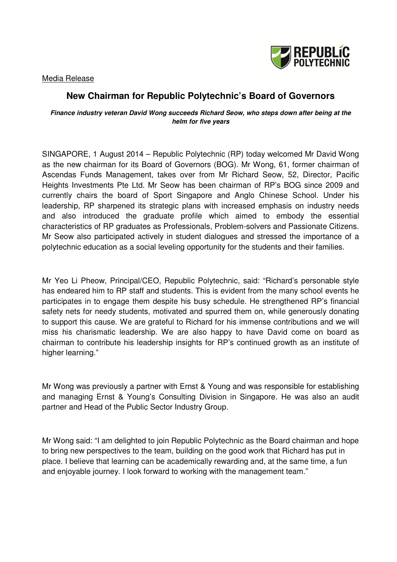

### Media Release

## **New Chairman for Republic Polytechnic's Board of Governors**

#### **Finance industry veteran David Wong succeeds Richard Seow, who steps down after being at the helm for five years**

SINGAPORE, 1 August 2014 – Republic Polytechnic (RP) today welcomed Mr David Wong as the new chairman for its Board of Governors (BOG). Mr Wong, 61, former chairman of Ascendas Funds Management, takes over from Mr Richard Seow, 52, Director, Pacific Heights Investments Pte Ltd. Mr Seow has been chairman of RP's BOG since 2009 and currently chairs the board of Sport Singapore and Anglo Chinese School. Under his leadership, RP sharpened its strategic plans with increased emphasis on industry needs and also introduced the graduate profile which aimed to embody the essential characteristics of RP graduates as Professionals, Problem-solvers and Passionate Citizens. Mr Seow also participated actively in student dialogues and stressed the importance of a polytechnic education as a social leveling opportunity for the students and their families.

Mr Yeo Li Pheow, Principal/CEO, Republic Polytechnic, said: "Richard's personable style has endeared him to RP staff and students. This is evident from the many school events he participates in to engage them despite his busy schedule. He strengthened RP's financial safety nets for needy students, motivated and spurred them on, while generously donating to support this cause. We are grateful to Richard for his immense contributions and we will miss his charismatic leadership. We are also happy to have David come on board as chairman to contribute his leadership insights for RP's continued growth as an institute of higher learning."

Mr Wong was previously a partner with Ernst & Young and was responsible for establishing and managing Ernst & Young's Consulting Division in Singapore. He was also an audit partner and Head of the Public Sector Industry Group.

Mr Wong said: "I am delighted to join Republic Polytechnic as the Board chairman and hope to bring new perspectives to the team, building on the good work that Richard has put in place. I believe that learning can be academically rewarding and, at the same time, a fun and enjoyable journey. I look forward to working with the management team."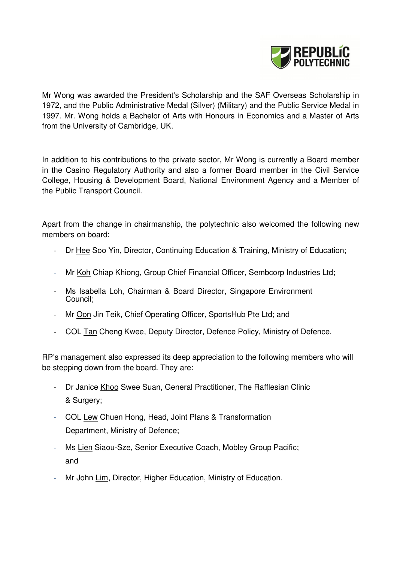

Mr Wong was awarded the President's Scholarship and the SAF Overseas Scholarship in 1972, and the Public Administrative Medal (Silver) (Military) and the Public Service Medal in 1997. Mr. Wong holds a Bachelor of Arts with Honours in Economics and a Master of Arts from the University of Cambridge, UK.

In addition to his contributions to the private sector, Mr Wong is currently a Board member in the Casino Regulatory Authority and also a former Board member in the Civil Service College, Housing & Development Board, National Environment Agency and a Member of the Public Transport Council.

Apart from the change in chairmanship, the polytechnic also welcomed the following new members on board:

- Dr Hee Soo Yin, Director, Continuing Education & Training, Ministry of Education;
- Mr Koh Chiap Khiong, Group Chief Financial Officer, Sembcorp Industries Ltd;
- Ms Isabella Loh, Chairman & Board Director, Singapore Environment Council;
- Mr Oon Jin Teik, Chief Operating Officer, SportsHub Pte Ltd; and
- COL Tan Cheng Kwee, Deputy Director, Defence Policy, Ministry of Defence.

RP's management also expressed its deep appreciation to the following members who will be stepping down from the board. They are:

- Dr Janice Khoo Swee Suan, General Practitioner, The Rafflesian Clinic & Surgery;
- COL Lew Chuen Hong, Head, Joint Plans & Transformation Department, Ministry of Defence;
- Ms Lien Siaou-Sze, Senior Executive Coach, Mobley Group Pacific; and
- Mr John Lim, Director, Higher Education, Ministry of Education.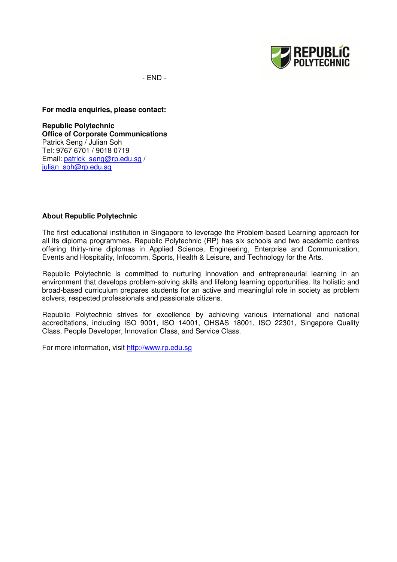

- END -

**For media enquiries, please contact:** 

**Republic Polytechnic Office of Corporate Communications**  Patrick Seng / Julian Soh Tel: 9767 6701 / 9018 0719 Email: patrick\_seng@rp.edu.sg / julian\_soh@rp.edu.sg

#### **About Republic Polytechnic**

The first educational institution in Singapore to leverage the Problem-based Learning approach for all its diploma programmes, Republic Polytechnic (RP) has six schools and two academic centres offering thirty-nine diplomas in Applied Science, Engineering, Enterprise and Communication, Events and Hospitality, Infocomm, Sports, Health & Leisure, and Technology for the Arts.

Republic Polytechnic is committed to nurturing innovation and entrepreneurial learning in an environment that develops problem-solving skills and lifelong learning opportunities. Its holistic and broad-based curriculum prepares students for an active and meaningful role in society as problem solvers, respected professionals and passionate citizens.

Republic Polytechnic strives for excellence by achieving various international and national accreditations, including ISO 9001, ISO 14001, OHSAS 18001, ISO 22301, Singapore Quality Class, People Developer, Innovation Class, and Service Class.

For more information, visit http://www.rp.edu.sg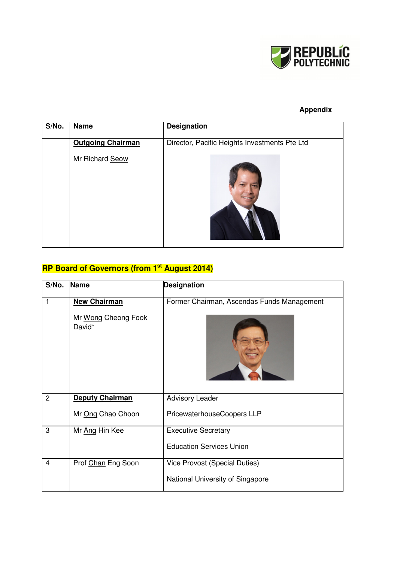

## **Appendix**

| S/No. | <b>Name</b>              | <b>Designation</b>                            |
|-------|--------------------------|-----------------------------------------------|
|       | <b>Outgoing Chairman</b> | Director, Pacific Heights Investments Pte Ltd |
|       | Mr Richard Seow          |                                               |

# **RP Board of Governors (from 1st August 2014)**

| S/No.          | Name                                                 | <b>Designation</b>                                                       |
|----------------|------------------------------------------------------|--------------------------------------------------------------------------|
| 1              | <b>New Chairman</b><br>Mr Wong Cheong Fook<br>David* | Former Chairman, Ascendas Funds Management                               |
| $\overline{2}$ | <b>Deputy Chairman</b><br>Mr Ong Chao Choon          | <b>Advisory Leader</b><br>PricewaterhouseCoopers LLP                     |
| 3              | Mr Ang Hin Kee                                       | <b>Executive Secretary</b><br><b>Education Services Union</b>            |
| 4              | Prof Chan Eng Soon                                   | <b>Vice Provost (Special Duties)</b><br>National University of Singapore |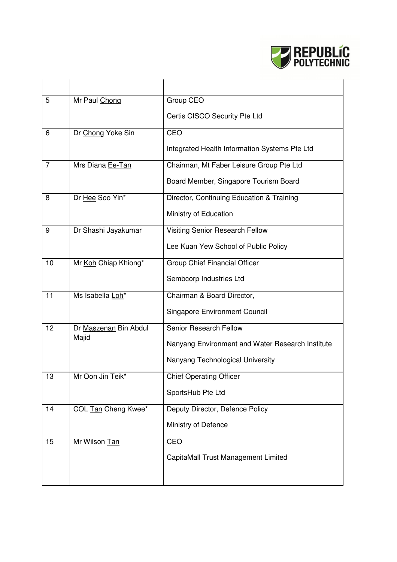

| 5              | Mr Paul Chong         | Group CEO                                        |
|----------------|-----------------------|--------------------------------------------------|
|                |                       | Certis CISCO Security Pte Ltd                    |
| 6              | Dr Chong Yoke Sin     | CEO                                              |
|                |                       | Integrated Health Information Systems Pte Ltd    |
| $\overline{7}$ | Mrs Diana Ee-Tan      | Chairman, Mt Faber Leisure Group Pte Ltd         |
|                |                       | Board Member, Singapore Tourism Board            |
| 8              | Dr Hee Soo Yin*       | Director, Continuing Education & Training        |
|                |                       | Ministry of Education                            |
| 9              | Dr Shashi Jayakumar   | Visiting Senior Research Fellow                  |
|                |                       | Lee Kuan Yew School of Public Policy             |
| 10             | Mr Koh Chiap Khiong*  | Group Chief Financial Officer                    |
|                |                       | Sembcorp Industries Ltd                          |
| 11             | Ms Isabella Loh*      | Chairman & Board Director,                       |
|                |                       | <b>Singapore Environment Council</b>             |
| 12             | Dr Maszenan Bin Abdul | Senior Research Fellow                           |
|                | Majid                 | Nanyang Environment and Water Research Institute |
|                |                       | Nanyang Technological University                 |
| 13             | Mr Oon Jin Teik*      | <b>Chief Operating Officer</b>                   |
|                |                       | SportsHub Pte Ltd                                |
| 14             | COL Tan Cheng Kwee*   | Deputy Director, Defence Policy                  |
|                |                       | Ministry of Defence                              |
| 15             | Mr Wilson Tan         | CEO                                              |
|                |                       | CapitaMall Trust Management Limited              |
|                |                       |                                                  |